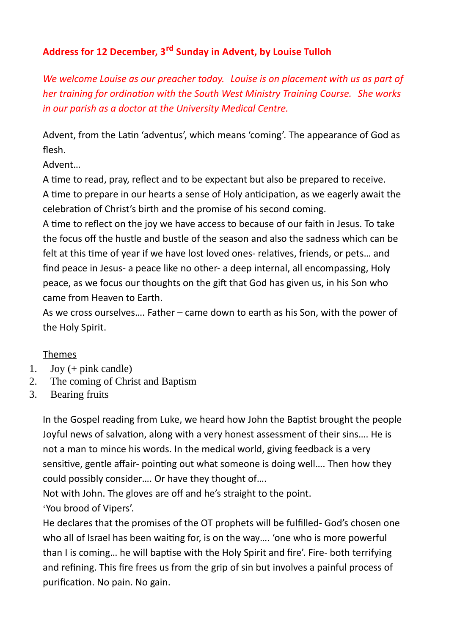## **Address for 12 December, 3rd Sunday in Advent, by Louise Tulloh**

*We welcome Louise as our preacher today. Louise is on placement with us as part of her training for ordination with the South West Ministry Training Course. She works in our parish as a doctor at the University Medical Centre.*

Advent, from the Latin 'adventus', which means 'coming'. The appearance of God as flesh.

Advent…

A time to read, pray, reflect and to be expectant but also be prepared to receive.

A time to prepare in our hearts a sense of Holy anticipation, as we eagerly await the celebration of Christ's birth and the promise of his second coming.

A time to reflect on the joy we have access to because of our faith in Jesus. To take the focus off the hustle and bustle of the season and also the sadness which can be felt at this time of year if we have lost loved ones- relatives, friends, or pets… and find peace in Jesus- a peace like no other- a deep internal, all encompassing, Holy peace, as we focus our thoughts on the gift that God has given us, in his Son who came from Heaven to Earth.

As we cross ourselves…. Father – came down to earth as his Son, with the power of the Holy Spirit.

## Themes

- 1. Joy (+ pink candle)
- 2. The coming of Christ and Baptism
- 3. Bearing fruits

In the Gospel reading from Luke, we heard how John the Baptist brought the people Joyful news of salvation, along with a very honest assessment of their sins…. He is not a man to mince his words. In the medical world, giving feedback is a very sensitive, gentle affair- pointing out what someone is doing well…. Then how they could possibly consider…. Or have they thought of….

Not with John. The gloves are off and he's straight to the point. 'You brood of Vipers'.

He declares that the promises of the OT prophets will be fulfilled- God's chosen one who all of Israel has been waiting for, is on the way.... 'one who is more powerful than I is coming… he will baptise with the Holy Spirit and fire'. Fire- both terrifying and refining. This fire frees us from the grip of sin but involves a painful process of purification. No pain. No gain.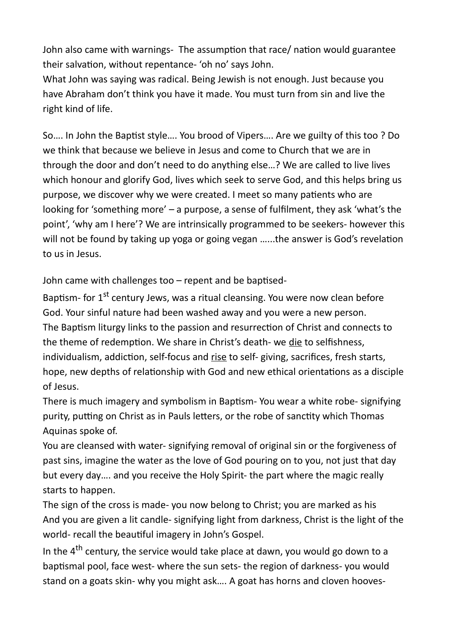John also came with warnings- The assumption that race/ nation would guarantee their salvation, without repentance- 'oh no' says John.

What John was saying was radical. Being Jewish is not enough. Just because you have Abraham don't think you have it made. You must turn from sin and live the right kind of life.

So…. In John the Baptist style…. You brood of Vipers…. Are we guilty of this too ? Do we think that because we believe in Jesus and come to Church that we are in through the door and don't need to do anything else…? We are called to live lives which honour and glorify God, lives which seek to serve God, and this helps bring us purpose, we discover why we were created. I meet so many patients who are looking for 'something more' – a purpose, a sense of fulfilment, they ask 'what's the point', 'why am I here'? We are intrinsically programmed to be seekers- however this will not be found by taking up yoga or going vegan …...the answer is God's revelation to us in Jesus.

John came with challenges too – repent and be baptised-

Baptism- for 1<sup>st</sup> century Jews, was a ritual cleansing. You were now clean before God. Your sinful nature had been washed away and you were a new person. The Baptism liturgy links to the passion and resurrection of Christ and connects to the theme of redemption. We share in Christ's death- we die to selfishness, individualism, addiction, self-focus and rise to self- giving, sacrifices, fresh starts, hope, new depths of relationship with God and new ethical orientations as a disciple of Jesus.

There is much imagery and symbolism in Baptism- You wear a white robe- signifying purity, putting on Christ as in Pauls letters, or the robe of sanctity which Thomas Aquinas spoke of.

You are cleansed with water- signifying removal of original sin or the forgiveness of past sins, imagine the water as the love of God pouring on to you, not just that day but every day…. and you receive the Holy Spirit- the part where the magic really starts to happen.

The sign of the cross is made- you now belong to Christ; you are marked as his And you are given a lit candle- signifying light from darkness, Christ is the light of the world- recall the beautiful imagery in John's Gospel.

In the 4<sup>th</sup> century, the service would take place at dawn, you would go down to a baptismal pool, face west- where the sun sets- the region of darkness- you would stand on a goats skin- why you might ask…. A goat has horns and cloven hooves-